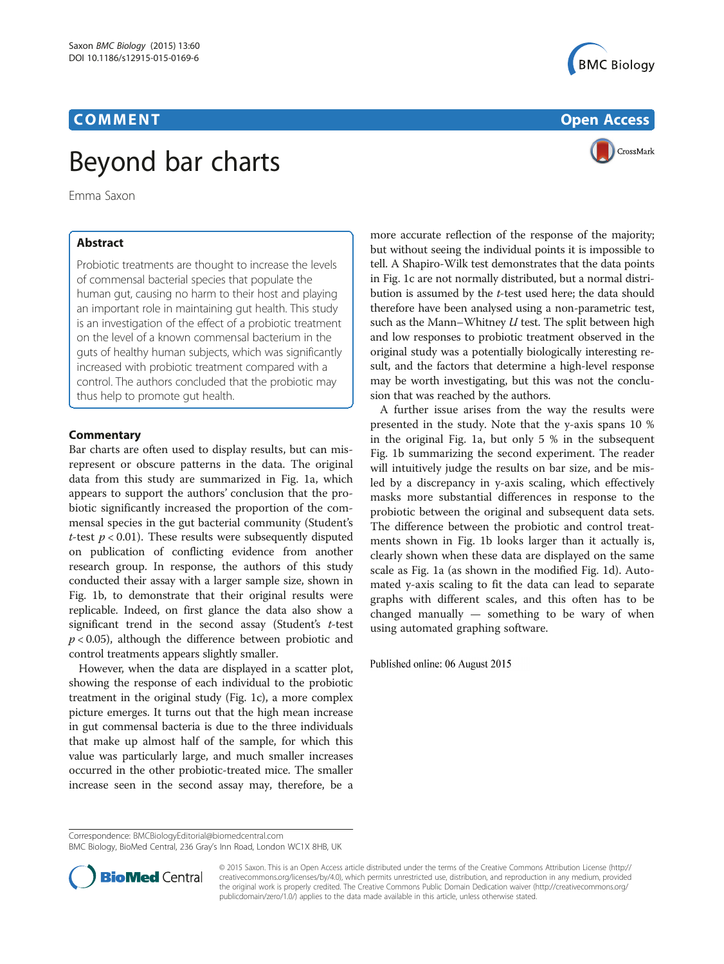## Beyond bar charts

Emma Saxon

Probiotic treatments are thought to increase the levels of commensal bacterial species that populate the human gut, causing no harm to their host and playing an important role in maintaining gut health. This study is an investigation of the effect of a probiotic treatment on the level of a known commensal bacterium in the guts of healthy human subjects, which was significantly increased with probiotic treatment compared with a control. The authors concluded that the probiotic may thus help to promote gut health.

Bar charts are often used to display results, but can misrepresent or obscure patterns in the data. The original data from this study are summarized in Fig. [1a](#page-1-0), which appears to support the authors' conclusion that the probiotic significantly increased the proportion of the commensal species in the gut bacterial community (Student's t-test  $p < 0.01$ ). These results were subsequently disputed on publication of conflicting evidence from another research group. In response, the authors of this study conducted their assay with a larger sample size, shown in Fig. [1b,](#page-1-0) to demonstrate that their original results were replicable. Indeed, on first glance the data also show a significant trend in the second assay (Student's t-test  $p < 0.05$ ), although the difference between probiotic and control treatments appears slightly smaller.

However, when the data are displayed in a scatter plot, showing the response of each individual to the probiotic treatment in the original study (Fig. [1c](#page-1-0)), a more complex picture emerges. It turns out that the high mean increase in gut commensal bacteria is due to the three individuals that make up almost half of the sample, for which this value was particularly large, and much smaller increases occurred in the other probiotic-treated mice. The smaller increase seen in the second assay may, therefore, be a





more accurate reflection of the response of the majority; but without seeing the individual points it is impossible to tell. A Shapiro-Wilk test demonstrates that the data points in Fig. [1c](#page-1-0) are not normally distributed, but a normal distribution is assumed by the t-test used here; the data should therefore have been analysed using a non-parametric test, such as the Mann–Whitney  $U$  test. The split between high and low responses to probiotic treatment observed in the original study was a potentially biologically interesting result, and the factors that determine a high-level response may be worth investigating, but this was not the conclusion that was reached by the authors.

A further issue arises from the way the results were presented in the study. Note that the y-axis spans 10 % in the original Fig. [1a](#page-1-0), but only 5 % in the subsequent Fig. [1b](#page-1-0) summarizing the second experiment. The reader will intuitively judge the results on bar size, and be misled by a discrepancy in y-axis scaling, which effectively masks more substantial differences in response to the probiotic between the original and subsequent data sets. The difference between the probiotic and control treatments shown in Fig. [1b](#page-1-0) looks larger than it actually is, clearly shown when these data are displayed on the same scale as Fig. [1a](#page-1-0) (as shown in the modified Fig. [1d](#page-1-0)). Automated y-axis scaling to fit the data can lead to separate graphs with different scales, and this often has to be changed manually — something to be wary of when using automated graphing software.

Published online: 06 August 2015

BMC Biology, BioMed Central, 236 Gray's Inn Road, London WC1X 8HB, UK



© 2015 Saxon. This is an Open Access article distributed under the terms of the Creative Commons Attribution License ([http://](http://creativecommons.org/licenses/by/4.0) [creativecommons.org/licenses/by/4.0](http://creativecommons.org/licenses/by/4.0)), which permits unrestricted use, distribution, and reproduction in any medium, provided the original work is properly credited. The Creative Commons Public Domain Dedication waiver ([http://creativecommons.org/](http://creativecommons.org/publicdomain/zero/1.0/) [publicdomain/zero/1.0/\)](http://creativecommons.org/publicdomain/zero/1.0/) applies to the data made available in this article, unless otherwise stated.

Correspondence: [BMCBiologyEditorial@biomedcentral.com](mailto:BMCBiologyEditorial@biomedcentral.com)